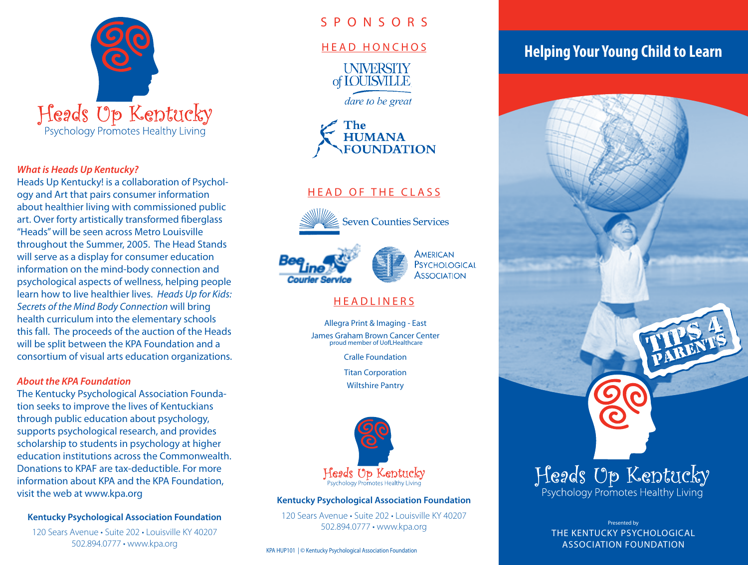

### *What is Heads Up Kentucky?*

Heads Up Kentucky! is a collaboration of Psychology and Art that pairs consumer information about healthier living with commissioned public art. Over forty artistically transformed fiberglass "Heads" will be seen across Metro Louisville throughout the Summer, 2005. The Head Stands will serve as a display for consumer education information on the mind-body connection and psychological aspects of wellness, helping people learn how to live healthier lives. *Heads Up for Kids: Secrets of the Mind Body Connection* will bring health curriculum into the elementary schools this fall. The proceeds of the auction of the Heads will be split between the KPA Foundation and a consortium of visual arts education organizations.

### *About the KPA Foundation*

The Kentucky Psychological Association Foundation seeks to improve the lives of Kentuckians through public education about psychology, supports psychological research, and provides scholarship to students in psychology at higher education institutions across the Commonwealth. Donations to KPAF are tax-deductible. For more information about KPA and the KPA Foundation, visit the web at www.kpa.org

### **Kentucky Psychological Association Foundation**

120 Sears Avenue • Suite 202 • Louisville KY 40207 502.894.0777 • www.kpa.org

### S P O N S O R S

### HEAD HONCHOS

**UNIVERSITY** of **IOUISVILLE** 

dare to be great



# HEAD OF THE CLASS



**Seven Counties Services** 





# **HEADLINERS**

Allegra Print & Imaging - East James Graham Brown Cancer Center proud member of UofLHealthcare

Cralle Foundation

Titan Corporation

Wiltshire Pantry



#### **Kentucky Psychological Association Foundation**

120 Sears Avenue • Suite 202 • Louisville KY 40207 502.894.0777 • www.kpa.org

KPA HUP101 | © Kentucky Psychological Association Foundation

# **Helping Your Young Child to Learn**



Psychology Promotes Healthy Living

Presented by THE KENTUCKY PSYCHOLOGICAL ASSOCIATION FOUNDATION